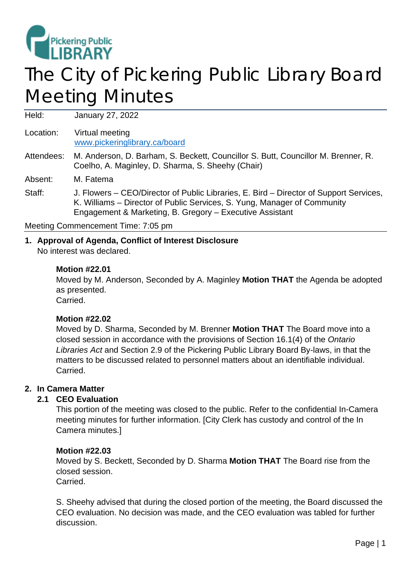

# The City of Pickering Public Library Board Meeting Minutes

Held: January 27, 2022

Location: Virtual meeting [www.pickeringlibrary.ca/board](http://www.pickeringlibrary.ca/board)

#### Attendees: M. Anderson, D. Barham, S. Beckett, Councillor S. Butt, Councillor M. Brenner, R. Coelho, A. Maginley, D. Sharma, S. Sheehy (Chair)

Absent: M. Fatema

Staff: J. Flowers – CEO/Director of Public Libraries, E. Bird – Director of Support Services, K. Williams – Director of Public Services, S. Yung, Manager of Community Engagement & Marketing, B. Gregory – Executive Assistant

Meeting Commencement Time: 7:05 pm

## **1. Approval of Agenda, Conflict of Interest Disclosure**

No interest was declared.

## **Motion #22.01**

Moved by M. Anderson, Seconded by A. Maginley **Motion THAT** the Agenda be adopted as presented. Carried.

# **Motion #22.02**

Moved by D. Sharma, Seconded by M. Brenner **Motion THAT** The Board move into a closed session in accordance with the provisions of Section 16.1(4) of the *Ontario Libraries Act* and Section 2.9 of the Pickering Public Library Board By-laws, in that the matters to be discussed related to personnel matters about an identifiable individual. **Carried** 

## **2. In Camera Matter**

## **2.1 CEO Evaluation**

This portion of the meeting was closed to the public. Refer to the confidential In-Camera meeting minutes for further information. [City Clerk has custody and control of the In Camera minutes.]

#### **Motion #22.03**

Moved by S. Beckett, Seconded by D. Sharma **Motion THAT** The Board rise from the closed session.

Carried.

S. Sheehy advised that during the closed portion of the meeting, the Board discussed the CEO evaluation. No decision was made, and the CEO evaluation was tabled for further discussion.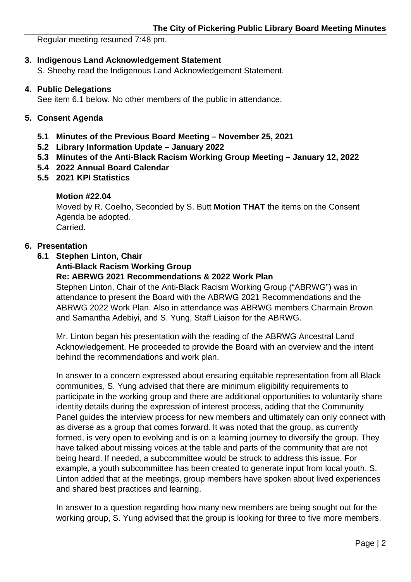Regular meeting resumed 7:48 pm.

## **3. Indigenous Land Acknowledgement Statement**

S. Sheehy read the Indigenous Land Acknowledgement Statement.

#### **4. Public Delegations**

See item 6.1 below. No other members of the public in attendance.

#### **5. Consent Agenda**

- **5.1 Minutes of the Previous Board Meeting – November 25, 2021**
- **5.2 Library Information Update – January 2022**
- **5.3 Minutes of the Anti-Black Racism Working Group Meeting – January 12, 2022**
- **5.4 2022 Annual Board Calendar**
- **5.5 2021 KPI Statistics**

## **Motion #22.04**

Moved by R. Coelho, Seconded by S. Butt **Motion THAT** the items on the Consent Agenda be adopted. Carried.

## **6. Presentation**

**6.1 Stephen Linton, Chair**

**Anti-Black Racism Working Group**

#### **Re: ABRWG 2021 Recommendations & 2022 Work Plan**

Stephen Linton, Chair of the Anti-Black Racism Working Group ("ABRWG") was in attendance to present the Board with the ABRWG 2021 Recommendations and the ABRWG 2022 Work Plan. Also in attendance was ABRWG members Charmain Brown and Samantha Adebiyi, and S. Yung, Staff Liaison for the ABRWG.

Mr. Linton began his presentation with the reading of the ABRWG Ancestral Land Acknowledgement. He proceeded to provide the Board with an overview and the intent behind the recommendations and work plan.

In answer to a concern expressed about ensuring equitable representation from all Black communities, S. Yung advised that there are minimum eligibility requirements to participate in the working group and there are additional opportunities to voluntarily share identity details during the expression of interest process, adding that the Community Panel guides the interview process for new members and ultimately can only connect with as diverse as a group that comes forward. It was noted that the group, as currently formed, is very open to evolving and is on a learning journey to diversify the group. They have talked about missing voices at the table and parts of the community that are not being heard. If needed, a subcommittee would be struck to address this issue. For example, a youth subcommittee has been created to generate input from local youth. S. Linton added that at the meetings, group members have spoken about lived experiences and shared best practices and learning.

In answer to a question regarding how many new members are being sought out for the working group, S. Yung advised that the group is looking for three to five more members.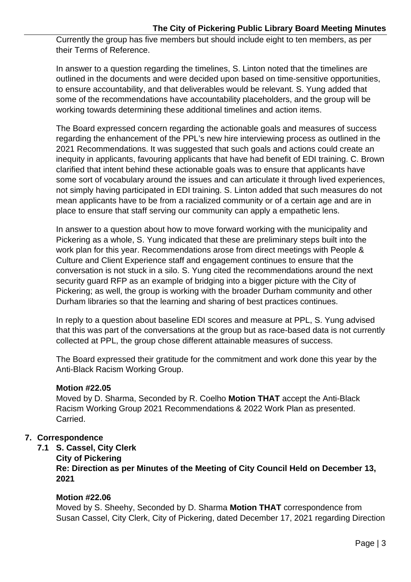Currently the group has five members but should include eight to ten members, as per their Terms of Reference.

In answer to a question regarding the timelines, S. Linton noted that the timelines are outlined in the documents and were decided upon based on time-sensitive opportunities, to ensure accountability, and that deliverables would be relevant. S. Yung added that some of the recommendations have accountability placeholders, and the group will be working towards determining these additional timelines and action items.

The Board expressed concern regarding the actionable goals and measures of success regarding the enhancement of the PPL's new hire interviewing process as outlined in the 2021 Recommendations. It was suggested that such goals and actions could create an inequity in applicants, favouring applicants that have had benefit of EDI training. C. Brown clarified that intent behind these actionable goals was to ensure that applicants have some sort of vocabulary around the issues and can articulate it through lived experiences, not simply having participated in EDI training. S. Linton added that such measures do not mean applicants have to be from a racialized community or of a certain age and are in place to ensure that staff serving our community can apply a empathetic lens.

In answer to a question about how to move forward working with the municipality and Pickering as a whole, S. Yung indicated that these are preliminary steps built into the work plan for this year. Recommendations arose from direct meetings with People & Culture and Client Experience staff and engagement continues to ensure that the conversation is not stuck in a silo. S. Yung cited the recommendations around the next security guard RFP as an example of bridging into a bigger picture with the City of Pickering; as well, the group is working with the broader Durham community and other Durham libraries so that the learning and sharing of best practices continues.

In reply to a question about baseline EDI scores and measure at PPL, S. Yung advised that this was part of the conversations at the group but as race-based data is not currently collected at PPL, the group chose different attainable measures of success.

The Board expressed their gratitude for the commitment and work done this year by the Anti-Black Racism Working Group.

# **Motion #22.05**

Moved by D. Sharma, Seconded by R. Coelho **Motion THAT** accept the Anti-Black Racism Working Group 2021 Recommendations & 2022 Work Plan as presented. Carried.

# **7. Correspondence**

- **7.1 S. Cassel, City Clerk**
	- **City of Pickering**

**Re: Direction as per Minutes of the Meeting of City Council Held on December 13, 2021**

# **Motion #22.06**

Moved by S. Sheehy, Seconded by D. Sharma **Motion THAT** correspondence from Susan Cassel, City Clerk, City of Pickering, dated December 17, 2021 regarding Direction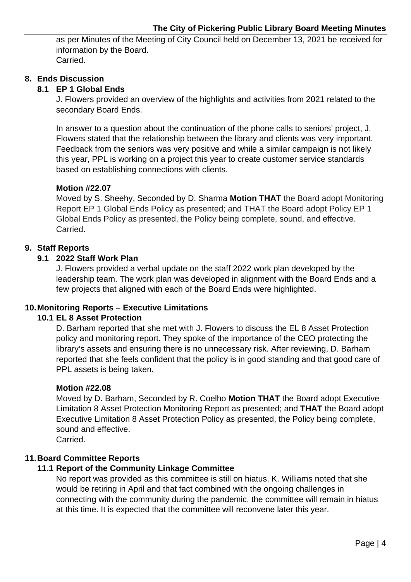as per Minutes of the Meeting of City Council held on December 13, 2021 be received for information by the Board. Carried.

## **8. Ends Discussion**

# **8.1 EP 1 Global Ends**

J. Flowers provided an overview of the highlights and activities from 2021 related to the secondary Board Ends.

In answer to a question about the continuation of the phone calls to seniors' project, J. Flowers stated that the relationship between the library and clients was very important. Feedback from the seniors was very positive and while a similar campaign is not likely this year, PPL is working on a project this year to create customer service standards based on establishing connections with clients.

## **Motion #22.07**

Moved by S. Sheehy, Seconded by D. Sharma **Motion THAT** the Board adopt Monitoring Report EP 1 Global Ends Policy as presented; and THAT the Board adopt Policy EP 1 Global Ends Policy as presented, the Policy being complete, sound, and effective. Carried.

## **9. Staff Reports**

## **9.1 2022 Staff Work Plan**

J. Flowers provided a verbal update on the staff 2022 work plan developed by the leadership team. The work plan was developed in alignment with the Board Ends and a few projects that aligned with each of the Board Ends were highlighted.

## **10.Monitoring Reports – Executive Limitations**

# **10.1 EL 8 Asset Protection**

D. Barham reported that she met with J. Flowers to discuss the EL 8 Asset Protection policy and monitoring report. They spoke of the importance of the CEO protecting the library's assets and ensuring there is no unnecessary risk. After reviewing, D. Barham reported that she feels confident that the policy is in good standing and that good care of PPL assets is being taken.

## **Motion #22.08**

Moved by D. Barham, Seconded by R. Coelho **Motion THAT** the Board adopt Executive Limitation 8 Asset Protection Monitoring Report as presented; and **THAT** the Board adopt Executive Limitation 8 Asset Protection Policy as presented, the Policy being complete, sound and effective.

Carried.

# **11.Board Committee Reports**

## **11.1 Report of the Community Linkage Committee**

No report was provided as this committee is still on hiatus. K. Williams noted that she would be retiring in April and that fact combined with the ongoing challenges in connecting with the community during the pandemic, the committee will remain in hiatus at this time. It is expected that the committee will reconvene later this year.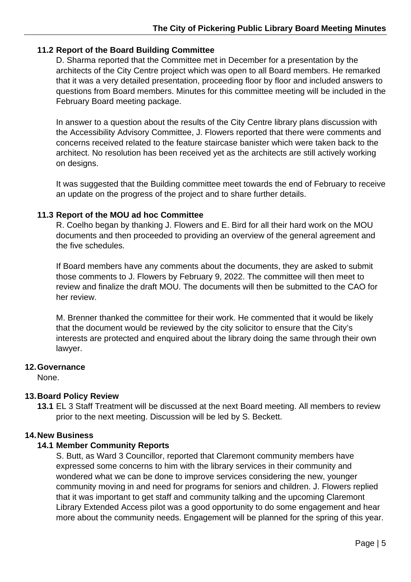## **11.2 Report of the Board Building Committee**

D. Sharma reported that the Committee met in December for a presentation by the architects of the City Centre project which was open to all Board members. He remarked that it was a very detailed presentation, proceeding floor by floor and included answers to questions from Board members. Minutes for this committee meeting will be included in the February Board meeting package.

In answer to a question about the results of the City Centre library plans discussion with the Accessibility Advisory Committee, J. Flowers reported that there were comments and concerns received related to the feature staircase banister which were taken back to the architect. No resolution has been received yet as the architects are still actively working on designs.

It was suggested that the Building committee meet towards the end of February to receive an update on the progress of the project and to share further details.

## **11.3 Report of the MOU ad hoc Committee**

R. Coelho began by thanking J. Flowers and E. Bird for all their hard work on the MOU documents and then proceeded to providing an overview of the general agreement and the five schedules.

If Board members have any comments about the documents, they are asked to submit those comments to J. Flowers by February 9, 2022. The committee will then meet to review and finalize the draft MOU. The documents will then be submitted to the CAO for her review.

M. Brenner thanked the committee for their work. He commented that it would be likely that the document would be reviewed by the city solicitor to ensure that the City's interests are protected and enquired about the library doing the same through their own lawyer.

## **12.Governance**

None.

# **13.Board Policy Review**

**13.1** EL 3 Staff Treatment will be discussed at the next Board meeting. All members to review prior to the next meeting. Discussion will be led by S. Beckett.

## **14.New Business**

## **14.1 Member Community Reports**

S. Butt, as Ward 3 Councillor, reported that Claremont community members have expressed some concerns to him with the library services in their community and wondered what we can be done to improve services considering the new, younger community moving in and need for programs for seniors and children. J. Flowers replied that it was important to get staff and community talking and the upcoming Claremont Library Extended Access pilot was a good opportunity to do some engagement and hear more about the community needs. Engagement will be planned for the spring of this year.